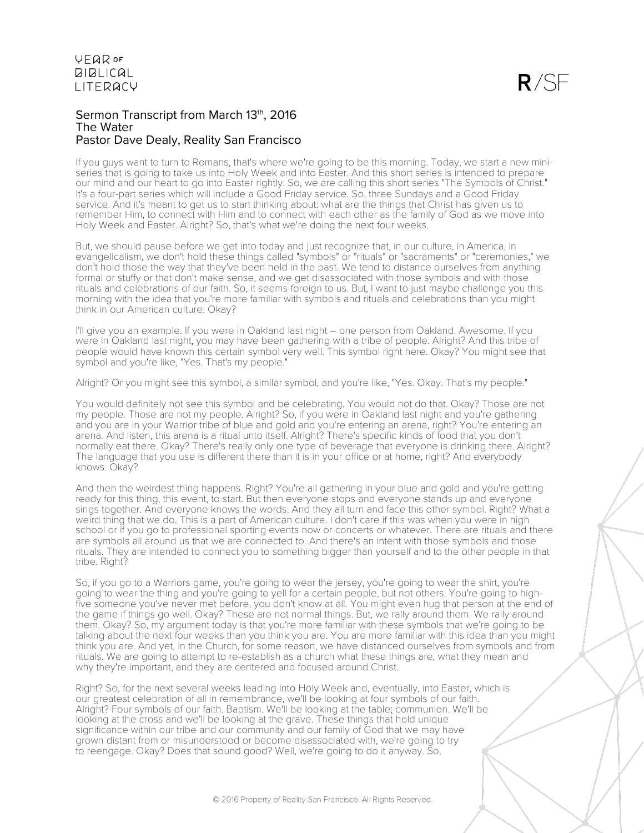### Sermon Transcript from March 13th, 2016 The Water Pastor Dave Dealy, Reality San Francisco

If you guys want to turn to Romans, that's where we're going to be this morning. Today, we start a new miniseries that is going to take us into Holy Week and into Easter. And this short series is intended to prepare our mind and our heart to go into Easter rightly. So, we are calling this short series "The Symbols of Christ." It's a four-part series which will include a Good Friday service. So, three Sundays and a Good Friday service. And it's meant to get us to start thinking about: what are the things that Christ has given us to remember Him, to connect with Him and to connect with each other as the family of God as we move into Holy Week and Easter. Alright? So, that's what we're doing the next four weeks.

But, we should pause before we get into today and just recognize that, in our culture, in America, in evangelicalism, we don't hold these things called "symbols" or "rituals" or "sacraments" or "ceremonies," we don't hold those the way that they've been held in the past. We tend to distance ourselves from anything formal or stuffy or that don't make sense, and we get disassociated with those symbols and with those rituals and celebrations of our faith. So, it seems foreign to us. But, I want to just maybe challenge you this morning with the idea that you're more familiar with symbols and rituals and celebrations than you might think in our American culture. Okay?

I'll give you an example. If you were in Oakland last night – one person from Oakland. Awesome. If you were in Oakland last night, you may have been gathering with a tribe of people. Alright? And this tribe of people would have known this certain symbol very well. This symbol right here. Okay? You might see that symbol and you're like, "Yes. That's my people."

Alright? Or you might see this symbol, a similar symbol, and you're like, "Yes. Okay. That's my people."

You would definitely not see this symbol and be celebrating. You would not do that. Okay? Those are not my people. Those are not my people. Alright? So, if you were in Oakland last night and you're gathering and you are in your Warrior tribe of blue and gold and you're entering an arena, right? You're entering an arena. And listen, this arena is a ritual unto itself. Alright? There's specific kinds of food that you don't normally eat there. Okay? There's really only one type of beverage that everyone is drinking there. Alright? The language that you use is different there than it is in your office or at home, right? And everybody knows. Okay?

And then the weirdest thing happens. Right? You're all gathering in your blue and gold and you're getting ready for this thing, this event, to start. But then everyone stops and everyone stands up and everyone sings together. And everyone knows the words. And they all turn and face this other symbol. Right? What a weird thing that we do. This is a part of American culture. I don't care if this was when you were in high school or if you go to professional sporting events now or concerts or whatever. There are rituals and there are symbols all around us that we are connected to. And there's an intent with those symbols and those rituals. They are intended to connect you to something bigger than yourself and to the other people in that tribe. Right?

So, if you go to a Warriors game, you're going to wear the jersey, you're going to wear the shirt, you're going to wear the thing and you're going to yell for a certain people, but not others. You're going to highfive someone you've never met before, you don't know at all. You might even hug that person at the end of the game if things go well. Okay? These are not normal things. But, we rally around them. We rally around them. Okay? So, my argument today is that you're more familiar with these symbols that we're going to be talking about the next four weeks than you think you are. You are more familiar with this idea than you might think you are. And yet, in the Church, for some reason, we have distanced ourselves from symbols and from rituals. We are going to attempt to re-establish as a church what these things are, what they mean and why they're important, and they are centered and focused around Christ.

Right? So, for the next several weeks leading into Holy Week and, eventually, into Easter, which is our greatest celebration of all in remembrance, we'll be looking at four symbols of our faith. Alright? Four symbols of our faith. Baptism. We'll be looking at the table; communion. We'll be looking at the cross and we'll be looking at the grave. These things that hold unique significance within our tribe and our community and our family of God that we may have grown distant from or misunderstood or become disassociated with, we're going to try to reengage. Okay? Does that sound good? Well, we're going to do it anyway. So,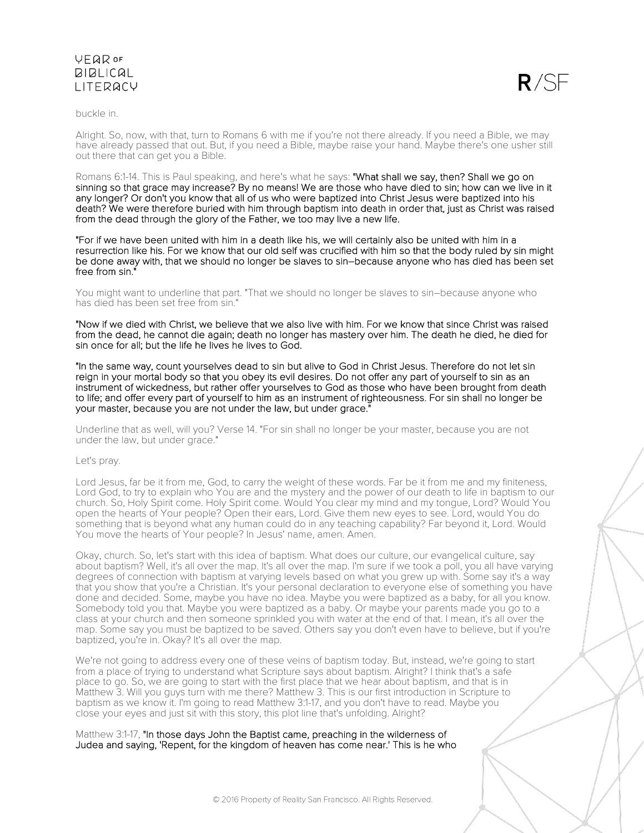

#### buckle in.

Alright. So, now, with that, turn to Romans 6 with me if you're not there already. If you need a Bible, we may have already passed that out. But, if you need a Bible, maybe raise your hand. Maybe there's one usher still out there that can get you a Bible.

Romans 6:1-14. This is Paul speaking, and here's what he says: "What shall we say, then? Shall we go on sinning so that grace may increase? By no means! We are those who have died to sin; how can we live in it any longer? Or don't you know that all of us who were baptized into Christ Jesus were baptized into his death? We were therefore buried with him through baptism into death in order that, just as Christ was raised from the dead through the glory of the Father, we too may live a new life.

"For if we have been united with him in a death like his, we will certainly also be united with him in a resurrection like his. For we know that our old self was crucified with him so that the body ruled by sin might be done away with, that we should no longer be slaves to sin–because anyone who has died has been set free from sin."

You might want to underline that part. "That we should no longer be slaves to sin–because anyone who has died has been set free from sin."

"Now if we died with Christ, we believe that we also live with him. For we know that since Christ was raised from the dead, he cannot die again; death no longer has mastery over him. The death he died, he died for sin once for all; but the life he lives he lives to God.

"In the same way, count yourselves dead to sin but alive to God in Christ Jesus. Therefore do not let sin reign in your mortal body so that you obey its evil desires. Do not offer any part of yourself to sin as an instrument of wickedness, but rather offer yourselves to God as those who have been brought from death to life; and offer every part of yourself to him as an instrument of righteousness. For sin shall no longer be your master, because you are not under the law, but under grace."

Underline that as well, will you? Verse 14. "For sin shall no longer be your master, because you are not under the law, but under grace."

#### Let's pray.

Lord Jesus, far be it from me, God, to carry the weight of these words. Far be it from me and my finiteness, Lord God, to try to explain who You are and the mystery and the power of our death to life in baptism to our church. So, Holy Spirit come. Holy Spirit come. Would You clear my mind and my tongue, Lord? Would You open the hearts of Your people? Open their ears, Lord. Give them new eyes to see. Lord, would You do something that is beyond what any human could do in any teaching capability? Far beyond it, Lord. Would You move the hearts of Your people? In Jesus' name, amen. Amen.

Okay, church. So, let's start with this idea of baptism. What does our culture, our evangelical culture, say about baptism? Well, it's all over the map. It's all over the map. I'm sure if we took a poll, you all have varying degrees of connection with baptism at varying levels based on what you grew up with. Some say it's a way that you show that you're a Christian. It's your personal declaration to everyone else of something you have done and decided. Some, maybe you have no idea. Maybe you were baptized as a baby, for all you know. Somebody told you that. Maybe you were baptized as a baby. Or maybe your parents made you go to a class at your church and then someone sprinkled you with water at the end of that. I mean, it's all over the map. Some say you must be baptized to be saved. Others say you don't even have to believe, but if you're baptized, you're in. Okay? It's all over the map.

We're not going to address every one of these veins of baptism today. But, instead, we're going to start from a place of trying to understand what Scripture says about baptism. Alright? I think that's a safe place to go. So, we are going to start with the first place that we hear about baptism, and that is in Matthew 3. Will you guys turn with me there? Matthew 3. This is our first introduction in Scripture to baptism as we know it. I'm going to read Matthew 3:1-17, and you don't have to read. Maybe you close your eyes and just sit with this story, this plot line that's unfolding. Alright?

Matthew 3:1-17, "In those days John the Baptist came, preaching in the wilderness of Judea and saying, 'Repent, for the kingdom of heaven has come near.' This is he who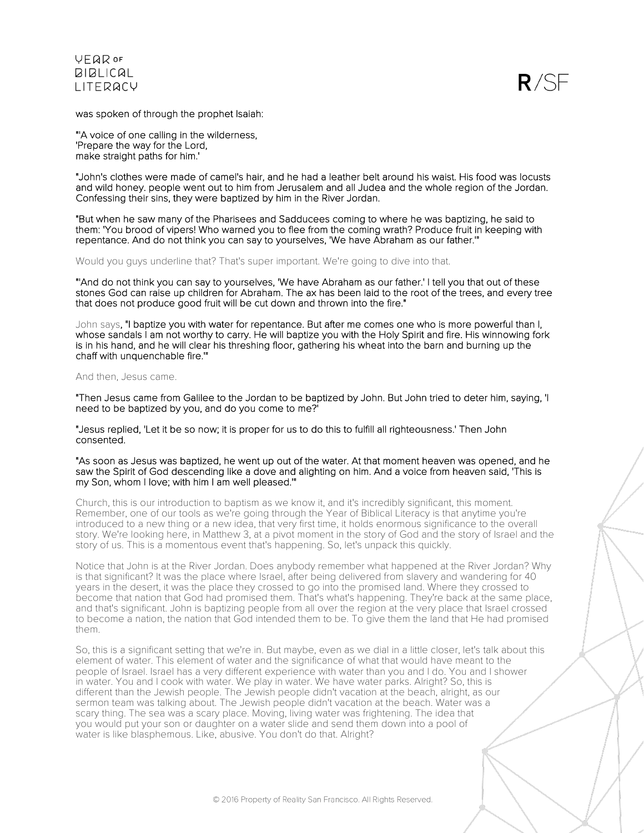



was spoken of through the prophet Isaiah:

"'A voice of one calling in the wilderness, 'Prepare the way for the Lord, make straight paths for him.'

"John's clothes were made of camel's hair, and he had a leather belt around his waist. His food was locusts and wild honey. people went out to him from Jerusalem and all Judea and the whole region of the Jordan. Confessing their sins, they were baptized by him in the River Jordan.

"But when he saw many of the Pharisees and Sadducees coming to where he was baptizing, he said to them: 'You brood of vipers! Who warned you to flee from the coming wrath? Produce fruit in keeping with repentance. And do not think you can say to yourselves, 'We have Abraham as our father.'"

Would you guys underline that? That's super important. We're going to dive into that.

"'And do not think you can say to yourselves, 'We have Abraham as our father.' I tell you that out of these stones God can raise up children for Abraham. The ax has been laid to the root of the trees, and every tree that does not produce good fruit will be cut down and thrown into the fire."

John says, "I baptize you with water for repentance. But after me comes one who is more powerful than I, whose sandals I am not worthy to carry. He will baptize you with the Holy Spirit and fire. His winnowing fork is in his hand, and he will clear his threshing floor, gathering his wheat into the barn and burning up the chaff with unquenchable fire.'"

### And then, Jesus came.

"Then Jesus came from Galilee to the Jordan to be baptized by John. But John tried to deter him, saying, 'I need to be baptized by you, and do you come to me?'

"Jesus replied, 'Let it be so now; it is proper for us to do this to fulfill all righteousness.' Then John consented.

"As soon as Jesus was baptized, he went up out of the water. At that moment heaven was opened, and he saw the Spirit of God descending like a dove and alighting on him. And a voice from heaven said, 'This is my Son, whom I love; with him I am well pleased.'"

Church, this is our introduction to baptism as we know it, and it's incredibly significant, this moment. Remember, one of our tools as we're going through the Year of Biblical Literacy is that anytime you're introduced to a new thing or a new idea, that very first time, it holds enormous significance to the overall story. We're looking here, in Matthew 3, at a pivot moment in the story of God and the story of Israel and the story of us. This is a momentous event that's happening. So, let's unpack this quickly.

Notice that John is at the River Jordan. Does anybody remember what happened at the River Jordan? Why is that significant? It was the place where Israel, after being delivered from slavery and wandering for 40 years in the desert, it was the place they crossed to go into the promised land. Where they crossed to become that nation that God had promised them. That's what's happening. They're back at the same place, and that's significant. John is baptizing people from all over the region at the very place that Israel crossed to become a nation, the nation that God intended them to be. To give them the land that He had promised them.

So, this is a significant setting that we're in. But maybe, even as we dial in a little closer, let's talk about this element of water. This element of water and the significance of what that would have meant to the people of Israel. Israel has a very different experience with water than you and I do. You and I shower in water. You and I cook with water. We play in water. We have water parks. Alright? So, this is different than the Jewish people. The Jewish people didn't vacation at the beach, alright, as our sermon team was talking about. The Jewish people didn't vacation at the beach. Water was a scary thing. The sea was a scary place. Moving, living water was frightening. The idea that you would put your son or daughter on a water slide and send them down into a pool of water is like blasphemous. Like, abusive. You don't do that. Alright?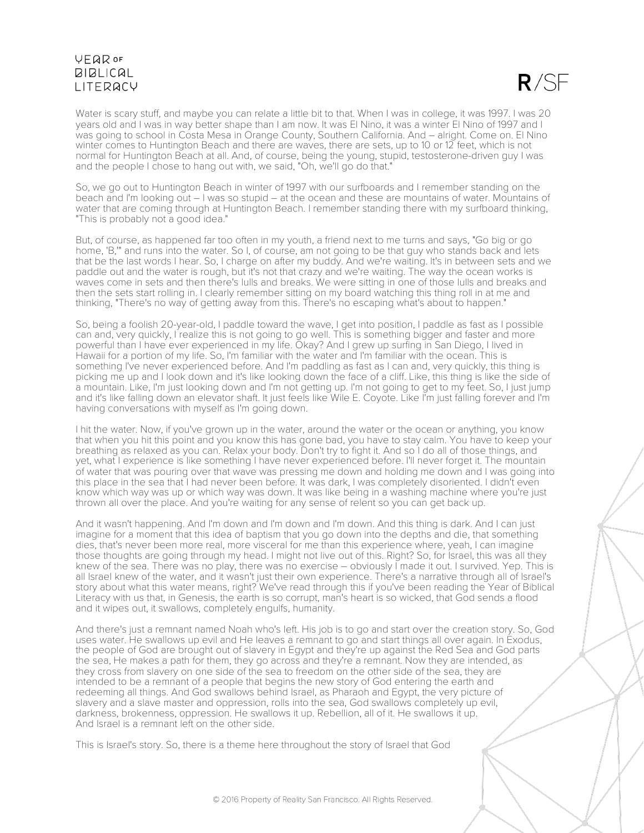$R/SF$ 

Water is scary stuff, and maybe you can relate a little bit to that. When I was in college, it was 1997. I was 20 years old and I was in way better shape than I am now. It was El Nino, it was a winter El Nino of 1997 and I was going to school in Costa Mesa in Orange County, Southern California. And – alright. Come on. El Nino winter comes to Huntington Beach and there are waves, there are sets, up to 10 or 12 feet, which is not normal for Huntington Beach at all. And, of course, being the young, stupid, testosterone-driven guy I was and the people I chose to hang out with, we said, "Oh, we'll go do that."

So, we go out to Huntington Beach in winter of 1997 with our surfboards and I remember standing on the beach and I'm looking out – I was so stupid – at the ocean and these are mountains of water. Mountains of water that are coming through at Huntington Beach. I remember standing there with my surfboard thinking, "This is probably not a good idea."

But, of course, as happened far too often in my youth, a friend next to me turns and says, "Go big or go home, 'B,'" and runs into the water. So I, of course, am not going to be that guy who stands back and lets that be the last words I hear. So, I charge on after my buddy. And we're waiting. It's in between sets and we paddle out and the water is rough, but it's not that crazy and we're waiting. The way the ocean works is waves come in sets and then there's lulls and breaks. We were sitting in one of those lulls and breaks and then the sets start rolling in. I clearly remember sitting on my board watching this thing roll in at me and thinking, "There's no way of getting away from this. There's no escaping what's about to happen."

So, being a foolish 20-year-old, I paddle toward the wave, I get into position, I paddle as fast as I possible can and, very quickly, I realize this is not going to go well. This is something bigger and faster and more powerful than I have ever experienced in my life. Okay? And I grew up surfing in San Diego, I lived in Hawaii for a portion of my life. So, I'm familiar with the water and I'm familiar with the ocean. This is something I've never experienced before. And I'm paddling as fast as I can and, very quickly, this thing is picking me up and I look down and it's like looking down the face of a cliff. Like, this thing is like the side of a mountain. Like, I'm just looking down and I'm not getting up. I'm not going to get to my feet. So, I just jump and it's like falling down an elevator shaft. It just feels like Wile E. Coyote. Like I'm just falling forever and I'm having conversations with myself as I'm going down.

I hit the water. Now, if you've grown up in the water, around the water or the ocean or anything, you know that when you hit this point and you know this has gone bad, you have to stay calm. You have to keep your breathing as relaxed as you can. Relax your body. Don't try to fight it. And so I do all of those things, and yet, what I experience is like something I have never experienced before. I'll never forget it. The mountain of water that was pouring over that wave was pressing me down and holding me down and I was going into this place in the sea that I had never been before. It was dark, I was completely disoriented. I didn't even know which way was up or which way was down. It was like being in a washing machine where you're just thrown all over the place. And you're waiting for any sense of relent so you can get back up.

And it wasn't happening. And I'm down and I'm down and I'm down. And this thing is dark. And I can just imagine for a moment that this idea of baptism that you go down into the depths and die, that something dies, that's never been more real, more visceral for me than this experience where, yeah, I can imagine those thoughts are going through my head. I might not live out of this. Right? So, for Israel, this was all they knew of the sea. There was no play, there was no exercise – obviously I made it out. I survived. Yep. This is all Israel knew of the water, and it wasn't just their own experience. There's a narrative through all of Israel's story about what this water means, right? We've read through this if you've been reading the Year of Biblical Literacy with us that, in Genesis, the earth is so corrupt, man's heart is so wicked, that God sends a flood and it wipes out, it swallows, completely engulfs, humanity.

And there's just a remnant named Noah who's left. His job is to go and start over the creation story. So, God uses water. He swallows up evil and He leaves a remnant to go and start things all over again. In Exodus, the people of God are brought out of slavery in Egypt and they're up against the Red Sea and God parts the sea, He makes a path for them, they go across and they're a remnant. Now they are intended, as they cross from slavery on one side of the sea to freedom on the other side of the sea, they are intended to be a remnant of a people that begins the new story of God entering the earth and redeeming all things. And God swallows behind Israel, as Pharaoh and Egypt, the very picture of slavery and a slave master and oppression, rolls into the sea, God swallows completely up evil, darkness, brokenness, oppression. He swallows it up. Rebellion, all of it. He swallows it up. And Israel is a remnant left on the other side.

This is Israel's story. So, there is a theme here throughout the story of Israel that God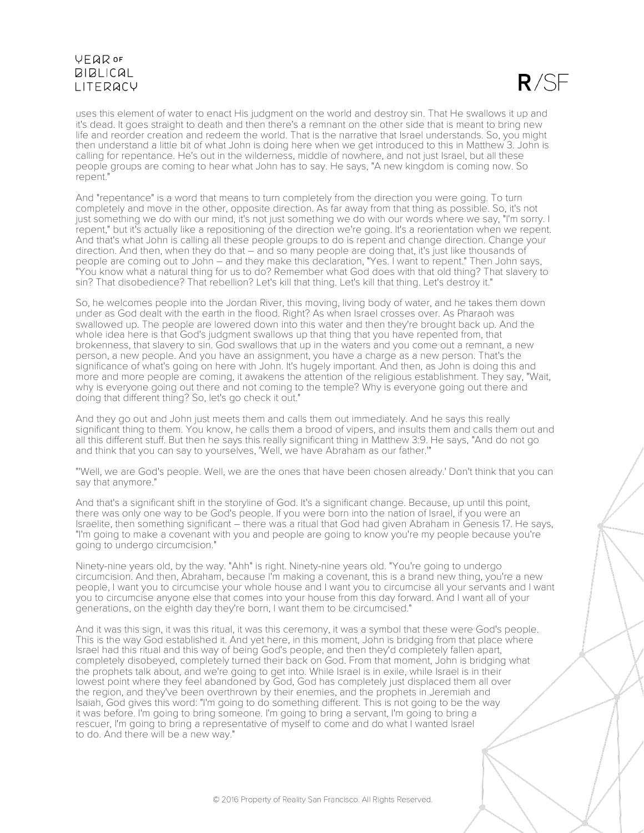$R/SF$ 

uses this element of water to enact His judgment on the world and destroy sin. That He swallows it up and it's dead. It goes straight to death and then there's a remnant on the other side that is meant to bring new life and reorder creation and redeem the world. That is the narrative that Israel understands. So, you might then understand a little bit of what John is doing here when we get introduced to this in Matthew 3. John is calling for repentance. He's out in the wilderness, middle of nowhere, and not just Israel, but all these people groups are coming to hear what John has to say. He says, "A new kingdom is coming now. So repent."

And "repentance" is a word that means to turn completely from the direction you were going. To turn completely and move in the other, opposite direction. As far away from that thing as possible. So, it's not just something we do with our mind, it's not just something we do with our words where we say, "I'm sorry. I repent," but it's actually like a repositioning of the direction we're going. It's a reorientation when we repent. And that's what John is calling all these people groups to do is repent and change direction. Change your direction. And then, when they do that – and so many people are doing that, it's just like thousands of people are coming out to John – and they make this declaration, "Yes. I want to repent." Then John says, "You know what a natural thing for us to do? Remember what God does with that old thing? That slavery to sin? That disobedience? That rebellion? Let's kill that thing. Let's kill that thing. Let's destroy it."

So, he welcomes people into the Jordan River, this moving, living body of water, and he takes them down under as God dealt with the earth in the flood. Right? As when Israel crosses over. As Pharaoh was swallowed up. The people are lowered down into this water and then they're brought back up. And the whole idea here is that God's judgment swallows up that thing that you have repented from, that brokenness, that slavery to sin. God swallows that up in the waters and you come out a remnant, a new person, a new people. And you have an assignment, you have a charge as a new person. That's the significance of what's going on here with John. It's hugely important. And then, as John is doing this and more and more people are coming, it awakens the attention of the religious establishment. They say, "Wait, why is everyone going out there and not coming to the temple? Why is everyone going out there and doing that different thing? So, let's go check it out."

And they go out and John just meets them and calls them out immediately. And he says this really significant thing to them. You know, he calls them a brood of vipers, and insults them and calls them out and all this different stuff. But then he says this really significant thing in Matthew 3:9. He says, "And do not go and think that you can say to yourselves, 'Well, we have Abraham as our father.'"

"'Well, we are God's people. Well, we are the ones that have been chosen already.' Don't think that you can say that anymore."

And that's a significant shift in the storyline of God. It's a significant change. Because, up until this point, there was only one way to be God's people. If you were born into the nation of Israel, if you were an Israelite, then something significant – there was a ritual that God had given Abraham in Genesis 17. He says, "I'm going to make a covenant with you and people are going to know you're my people because you're going to undergo circumcision."

Ninety-nine years old, by the way. "Ahh" is right. Ninety-nine years old. "You're going to undergo circumcision. And then, Abraham, because I'm making a covenant, this is a brand new thing, you're a new people, I want you to circumcise your whole house and I want you to circumcise all your servants and I want you to circumcise anyone else that comes into your house from this day forward. And I want all of your generations, on the eighth day they're born, I want them to be circumcised."

And it was this sign, it was this ritual, it was this ceremony, it was a symbol that these were God's people. This is the way God established it. And yet here, in this moment, John is bridging from that place where Israel had this ritual and this way of being God's people, and then they'd completely fallen apart, completely disobeyed, completely turned their back on God. From that moment, John is bridging what the prophets talk about, and we're going to get into. While Israel is in exile, while Israel is in their lowest point where they feel abandoned by God, God has completely just displaced them all over the region, and they've been overthrown by their enemies, and the prophets in Jeremiah and Isaiah, God gives this word: "I'm going to do something different. This is not going to be the way it was before. I'm going to bring someone. I'm going to bring a servant, I'm going to bring a rescuer, I'm going to bring a representative of myself to come and do what I wanted Israel to do. And there will be a new way."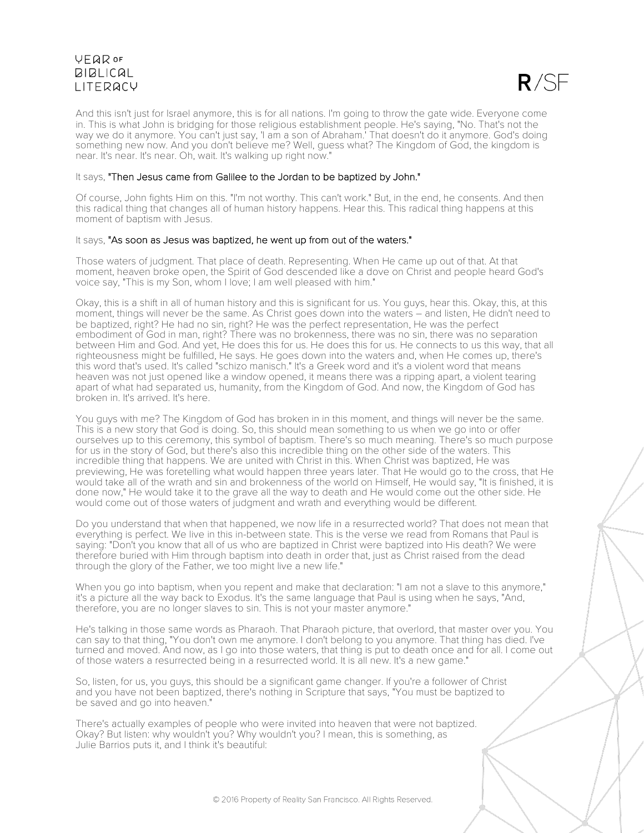

And this isn't just for Israel anymore, this is for all nations. I'm going to throw the gate wide. Everyone come in. This is what John is bridging for those religious establishment people. He's saying, "No. That's not the way we do it anymore. You can't just say, 'I am a son of Abraham.' That doesn't do it anymore. God's doing something new now. And you don't believe me? Well, guess what? The Kingdom of God, the kingdom is near. It's near. It's near. Oh, wait. It's walking up right now."

### It says, "Then Jesus came from Galilee to the Jordan to be baptized by John."

Of course, John fights Him on this. "I'm not worthy. This can't work." But, in the end, he consents. And then this radical thing that changes all of human history happens. Hear this. This radical thing happens at this moment of baptism with Jesus.

### It says, "As soon as Jesus was baptized, he went up from out of the waters."

Those waters of judgment. That place of death. Representing. When He came up out of that. At that moment, heaven broke open, the Spirit of God descended like a dove on Christ and people heard God's voice say, "This is my Son, whom I love; I am well pleased with him."

Okay, this is a shift in all of human history and this is significant for us. You guys, hear this. Okay, this, at this moment, things will never be the same. As Christ goes down into the waters – and listen, He didn't need to be baptized, right? He had no sin, right? He was the perfect representation, He was the perfect embodiment of God in man, right? There was no brokenness, there was no sin, there was no separation between Him and God. And yet, He does this for us. He does this for us. He connects to us this way, that all righteousness might be fulfilled, He says. He goes down into the waters and, when He comes up, there's this word that's used. It's called "schizo manisch." It's a Greek word and it's a violent word that means heaven was not just opened like a window opened, it means there was a ripping apart, a violent tearing apart of what had separated us, humanity, from the Kingdom of God. And now, the Kingdom of God has broken in. It's arrived. It's here.

You guys with me? The Kingdom of God has broken in in this moment, and things will never be the same. This is a new story that God is doing. So, this should mean something to us when we go into or offer ourselves up to this ceremony, this symbol of baptism. There's so much meaning. There's so much purpose for us in the story of God, but there's also this incredible thing on the other side of the waters. This incredible thing that happens. We are united with Christ in this. When Christ was baptized, He was previewing, He was foretelling what would happen three years later. That He would go to the cross, that He would take all of the wrath and sin and brokenness of the world on Himself, He would say, "It is finished, it is done now," He would take it to the grave all the way to death and He would come out the other side. He would come out of those waters of judgment and wrath and everything would be different.

Do you understand that when that happened, we now life in a resurrected world? That does not mean that everything is perfect. We live in this in-between state. This is the verse we read from Romans that Paul is saying: "Don't you know that all of us who are baptized in Christ were baptized into His death? We were therefore buried with Him through baptism into death in order that, just as Christ raised from the dead through the glory of the Father, we too might live a new life."

When you go into baptism, when you repent and make that declaration: "I am not a slave to this anymore," it's a picture all the way back to Exodus. It's the same language that Paul is using when he says, "And, therefore, you are no longer slaves to sin. This is not your master anymore."

He's talking in those same words as Pharaoh. That Pharaoh picture, that overlord, that master over you. You can say to that thing, "You don't own me anymore. I don't belong to you anymore. That thing has died. I've turned and moved. And now, as I go into those waters, that thing is put to death once and for all. I come out of those waters a resurrected being in a resurrected world. It is all new. It's a new game."

So, listen, for us, you guys, this should be a significant game changer. If you're a follower of Christ and you have not been baptized, there's nothing in Scripture that says, "You must be baptized to be saved and go into heaven."

There's actually examples of people who were invited into heaven that were not baptized. Okay? But listen: why wouldn't you? Why wouldn't you? I mean, this is something, as Julie Barrios puts it, and I think it's beautiful: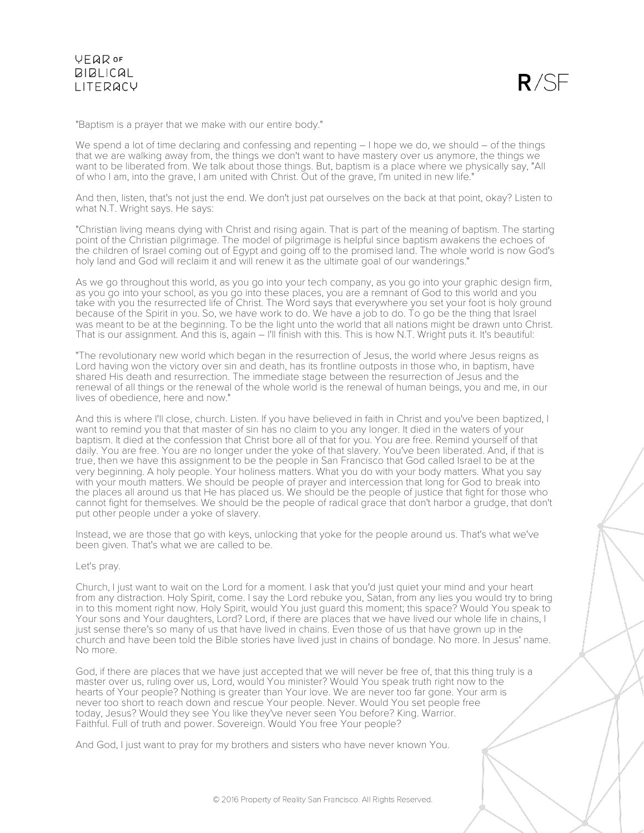"Baptism is a prayer that we make with our entire body."

We spend a lot of time declaring and confessing and repenting – I hope we do, we should – of the things that we are walking away from, the things we don't want to have mastery over us anymore, the things we want to be liberated from. We talk about those things. But, baptism is a place where we physically say, "All of who I am, into the grave, I am united with Christ. Out of the grave, I'm united in new life."

And then, listen, that's not just the end. We don't just pat ourselves on the back at that point, okay? Listen to what N.T. Wright says. He says:

"Christian living means dying with Christ and rising again. That is part of the meaning of baptism. The starting point of the Christian pilgrimage. The model of pilgrimage is helpful since baptism awakens the echoes of the children of Israel coming out of Egypt and going off to the promised land. The whole world is now God's holy land and God will reclaim it and will renew it as the ultimate goal of our wanderings."

As we go throughout this world, as you go into your tech company, as you go into your graphic design firm, as you go into your school, as you go into these places, you are a remnant of God to this world and you take with you the resurrected life of Christ. The Word says that everywhere you set your foot is holy ground because of the Spirit in you. So, we have work to do. We have a job to do. To go be the thing that Israel was meant to be at the beginning. To be the light unto the world that all nations might be drawn unto Christ. That is our assignment. And this is, again – I'll finish with this. This is how N.T. Wright puts it. It's beautiful:

"The revolutionary new world which began in the resurrection of Jesus, the world where Jesus reigns as Lord having won the victory over sin and death, has its frontline outposts in those who, in baptism, have shared His death and resurrection. The immediate stage between the resurrection of Jesus and the renewal of all things or the renewal of the whole world is the renewal of human beings, you and me, in our lives of obedience, here and now."

And this is where I'll close, church. Listen. If you have believed in faith in Christ and you've been baptized, I want to remind you that that master of sin has no claim to you any longer. It died in the waters of your baptism. It died at the confession that Christ bore all of that for you. You are free. Remind yourself of that daily. You are free. You are no longer under the yoke of that slavery. You've been liberated. And, if that is true, then we have this assignment to be the people in San Francisco that God called Israel to be at the very beginning. A holy people. Your holiness matters. What you do with your body matters. What you say with your mouth matters. We should be people of prayer and intercession that long for God to break into the places all around us that He has placed us. We should be the people of justice that fight for those who cannot fight for themselves. We should be the people of radical grace that don't harbor a grudge, that don't put other people under a yoke of slavery.

Instead, we are those that go with keys, unlocking that yoke for the people around us. That's what we've been given. That's what we are called to be.

#### Let's pray.

Church, I just want to wait on the Lord for a moment. I ask that you'd just quiet your mind and your heart from any distraction. Holy Spirit, come. I say the Lord rebuke you, Satan, from any lies you would try to bring in to this moment right now. Holy Spirit, would You just guard this moment; this space? Would You speak to Your sons and Your daughters, Lord? Lord, if there are places that we have lived our whole life in chains, I just sense there's so many of us that have lived in chains. Even those of us that have grown up in the church and have been told the Bible stories have lived just in chains of bondage. No more. In Jesus' name. No more.

God, if there are places that we have just accepted that we will never be free of, that this thing truly is a master over us, ruling over us, Lord, would You minister? Would You speak truth right now to the hearts of Your people? Nothing is greater than Your love. We are never too far gone. Your arm is never too short to reach down and rescue Your people. Never. Would You set people free today, Jesus? Would they see You like they've never seen You before? King. Warrior. Faithful. Full of truth and power. Sovereign. Would You free Your people?

And God, I just want to pray for my brothers and sisters who have never known You.